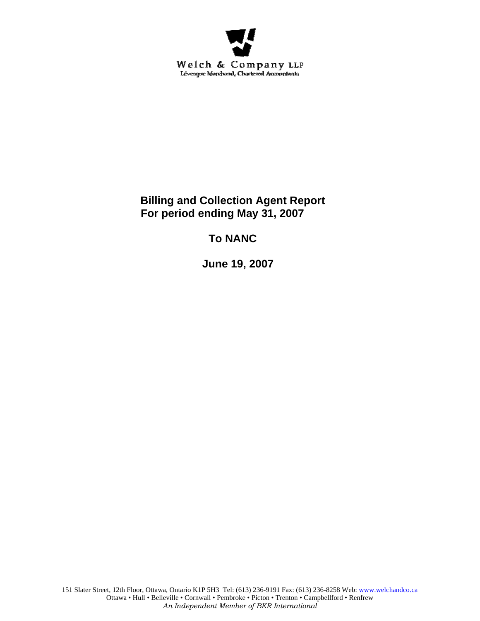

**Billing and Collection Agent Report For period ending May 31, 2007** 

**To NANC** 

 **June 19, 2007**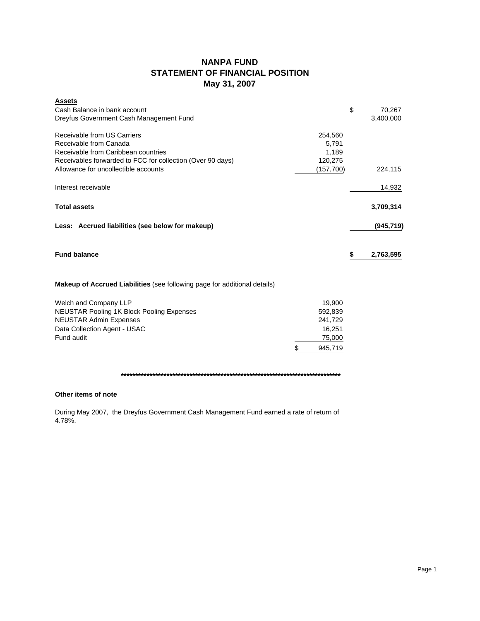## **NANPA FUND STATEMENT OF FINANCIAL POSITION May 31, 2007**

| <b>Assets</b><br>Cash Balance in bank account<br>Dreyfus Government Cash Management Fund                                                                                                           |                                                                   | \$ | 70,267<br>3,400,000 |
|----------------------------------------------------------------------------------------------------------------------------------------------------------------------------------------------------|-------------------------------------------------------------------|----|---------------------|
| Receivable from US Carriers<br>Receivable from Canada<br>Receivable from Caribbean countries<br>Receivables forwarded to FCC for collection (Over 90 days)<br>Allowance for uncollectible accounts | 254,560<br>5,791<br>1,189<br>120,275<br>(157,700)                 |    | 224,115             |
| Interest receivable                                                                                                                                                                                |                                                                   |    | 14,932              |
| <b>Total assets</b>                                                                                                                                                                                |                                                                   |    | 3,709,314           |
| Less: Accrued liabilities (see below for makeup)                                                                                                                                                   |                                                                   |    | (945, 719)          |
| <b>Fund balance</b>                                                                                                                                                                                |                                                                   | S  | 2,763,595           |
| <b>Makeup of Accrued Liabilities</b> (see following page for additional details)                                                                                                                   |                                                                   |    |                     |
| Welch and Company LLP<br><b>NEUSTAR Pooling 1K Block Pooling Expenses</b><br><b>NEUSTAR Admin Expenses</b><br>Data Collection Agent - USAC<br>Fund audit                                           | 19,900<br>592,839<br>241,729<br>16,251<br>75,000<br>\$<br>945,719 |    |                     |

**\*\*\*\*\*\*\*\*\*\*\*\*\*\*\*\*\*\*\*\*\*\*\*\*\*\*\*\*\*\*\*\*\*\*\*\*\*\*\*\*\*\*\*\*\*\*\*\*\*\*\*\*\*\*\*\*\*\*\*\*\*\*\*\*\*\*\*\*\*\*\*\*\*\*\*\*\***

### **Other items of note**

During May 2007, the Dreyfus Government Cash Management Fund earned a rate of return of 4.78%.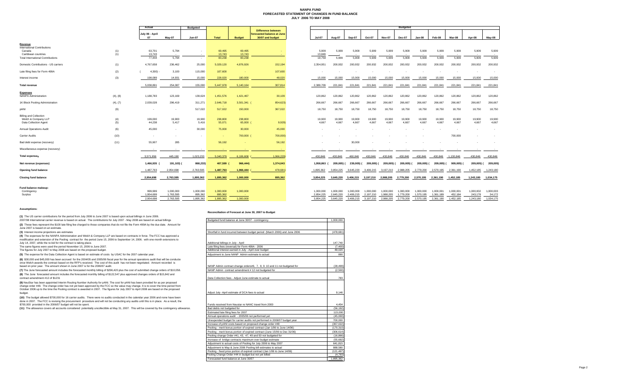#### **NANPA FUND FORECASTED STATEMENT OF CHANGES IN FUND BALANCE JULY 2006 TO MAY 2008**

|                                                |            | Actual                   |           | <b>Budgeted</b>          |              |               |                                                |               | <b>Budgeted</b> |            |            |               |               |            |                          |           |            |           |
|------------------------------------------------|------------|--------------------------|-----------|--------------------------|--------------|---------------|------------------------------------------------|---------------|-----------------|------------|------------|---------------|---------------|------------|--------------------------|-----------|------------|-----------|
|                                                |            |                          |           |                          |              |               | <b>Difference between</b>                      |               |                 |            |            |               |               |            |                          |           |            |           |
|                                                |            | July 06 - April<br>07    | Mav-07    | <b>Jun-07</b>            | <b>Total</b> | <b>Budget</b> | forecasted balance at June<br>30/07 and budget | <b>Jul-07</b> | Aug-07          | Sep-07     | Oct-07     | <b>Nov-07</b> | <b>Dec-07</b> | Jan-08     | Feb-08                   | Mar-08    | Apr-08     | May-08    |
| Revenue                                        |            |                          |           |                          |              |               |                                                |               |                 |            |            |               |               |            |                          |           |            |           |
| <b>International Contributions</b><br>Canada   |            | 63,701                   | 5,794     | $\overline{\phantom{a}}$ | 69,495       | 69,495        |                                                | 5,909         | 5,909           | 5,909      | 5,909      | 5,909         | 5,909         | 5,909      | 5,909                    | 5,909     | 5,909      | 5,909     |
| Caribbean countries                            | (1)<br>(1) | 13,743                   | $\sim$    | $\sim$                   | 13,743       | 13,743        | $\sim$                                         | 13,849        |                 | $\sim$     | $\sim$     |               | $\sim$        |            | $\overline{\phantom{a}}$ | $\sim$    | <b>.</b>   | $\sim$    |
| <b>Total International Contributions</b>       |            | 77,444                   | 5.794     | $\sim$                   | 83,238       | 83,238        |                                                | 19,758        | 5.909           | 5,909      | 5,909      | 5,909         | 5,909         | 5,909      | 5.909                    | 5,909     | 5,909      | 5,909     |
| Domestic Contributions - US carriers           | (1)        | 4,767,658                | 236,462   | 25,000                   | 5,029,120    | 4,876,926     | 152,194                                        | 2,354,951     | 200,932         | 200,932    | 200,932    | 200,932       | 200,932       | 200,932    | 200,932                  | 200,932   | 200,932    | 200,932   |
| Late filing fees for Form 499A                 | (2)        | 4,300                    | 3,100     | 115,000                  | 107,600      | - 1           | 107,600                                        |               |                 |            |            |               |               |            |                          | $\sim$    |            | $\sim$    |
| Interest income                                | (3)        | 198,089                  | 14,931    | 15,000                   | 228,020      | 180,000       | 48,020                                         | 15,000        | 15,000          | 15,000     | 15,000     | 15,000        | 15,000        | 15,000     | 15,000                   | 15,000    | 15,000     | 15,000    |
| <b>Total revenue</b>                           |            | 5.038.891                | 254,087   | 155,000                  | 5.447.978    | 5.140.164     | 307.814                                        | 2.389.709     | 221.841         | 221.841    | 221.841    | 221.841       | 221.841       | 221.841    | 221,841                  | 221,841   | 221.841    | 221,84    |
| <b>Expenses</b><br><b>NANPA Administration</b> | (4), (8)   | 1,188,783                | 123,169   | 139,624                  | 1,451,576    | 1,421,467     | 30,109                                         | 120,862       | 120,862         | 120,862    | 120,862    | 120,862       | 120,862       | 120,862    | 120,862                  | 120,862   | 120,862    | 120,862   |
| 1K Block Pooling Administration                | (4), (7)   | 2,039,028                | 296,419   | 311,271                  | 2,646,718    | 3,501,341     | 854,623)                                       | 266,667       | 266,667         | 266,667    | 266,667    | 266,667       | 266,667       | 266,667    | 266,667                  | 266,667   | 266,667    | 266,667   |
| pANI                                           | (9)        | $\overline{\phantom{a}}$ | ٠         | 517,022                  | 517,022      | 150,000       | 367,022                                        | 18,750        | 18,750          | 18,750     | 18,750     | 18,750        | 18,750        | 18,750     | 18,750                   | 18,750    | 18,750     | 18,750    |
| <b>Billing and Collection</b>                  |            |                          |           |                          |              |               |                                                |               |                 |            |            |               |               |            |                          |           |            |           |
| Welch & Company LLP                            | (4)        | 199,000                  | 19,900    | 19,900                   | 238,800      | 238,800       |                                                | 19,900        | 19,900          | 19,900     | 19,900     | 19,900        | 19,900        | 19,900     | 19,900                   | 19,900    | 19,900     | 19,900    |
| Data Collection Agent                          | (5)        | 44,238                   | 5,417     | 5,416                    | 55,071       | 65,000 (      | 9,929                                          | 4,667         | 4,667           | 4,667      | 4.667      | 4,667         | 4,667         | 4,667      | 4,667                    | 4,667     | 4,667      | 4,667     |
| <b>Annual Operations Audit</b>                 | (6)        | 45,000                   | $\sim$    | 30,000                   | 75,000       | 30,000        | 45,000                                         |               |                 |            |            |               |               |            |                          |           |            |           |
| <b>Carrier Audits</b>                          | (10)       | $\sim$                   |           |                          | $\sim$       | 700,000 (     | 700,000)                                       |               |                 |            |            |               |               |            |                          | 700,000   |            |           |
| Bad debt expense (recovery)                    | (11)       | 55,907                   | 285       |                          | 56,192       | - 1           | 56,192                                         |               |                 | 30,000     |            |               |               |            |                          |           |            | $\sim$    |
| Miscellaneous expense (recovery)               |            |                          |           |                          |              |               |                                                |               |                 |            |            |               |               |            |                          |           |            |           |
| <b>Total expenses</b>                          |            | 3,571,956                | 445,190   | 1,023,233                | 5,040,379    | 6,106,608     | 1,066,229)                                     | 430.846       | 430,846         | 460,846    | 430,846    | 430,846       | 430,846       | 430,846    | 430,846                  | 1,130,846 | 430,846    | 430,846   |
| Net revenue (expenses)                         |            | 1,466,935                | 191,103)  | 868,233)                 | 407,599      | 966,444)      | 1,374,043                                      | 1.958.863     | 209.005) (      | 239,005) ( | 209.005) ( | 209.005) (    | 209.005) (    | 209.005) ( | 209.005) (               | 909,005)  | 209,005) ( | 209,005)  |
| Opening fund balance                           |            | 1,487,763                | 2,954,698 | 2,763,595                | 1,487,763    | 1,966,444     | 478,681)                                       | 1,895,362     | 3.854.225       | 3,645,220  | 3,406,215  | 3,197,210     | 2,988,205     | 2,779,200  | 2,570,195                | 2,361,190 | 1,452,185  | 1,243,180 |
| <b>Closing fund balance</b>                    |            | 2,954,698                | 2,763,595 | 1,895,362                | 1,895,362    | 1,000,000     | 895,362                                        | 3,854,225     | 3,645,220       | 3,406,215  | 3,197,210  | 2,988,205     | 2,779,200     | 2,570,195  | 2,361,190                | 1,452,185 | 1,243,180  | 1,034,175 |
|                                                |            |                          |           |                          |              |               |                                                |               |                 |            |            |               |               |            |                          |           |            |           |
| Fund balance makeup:<br>Contingency            |            | 999,999                  | 1,000,000 | 1,000,000                | 1,000,000    | 1,000,000     |                                                | 1.000.000     | 1.000.000       | 1.000.000  | 1.000.000  | 1,000,000     | 1,000,000     | 1,000,000  | 1,000,001                | 1,000,001 | 1,000,002  | 1,000,003 |
| Surplus                                        |            | 1,954,699                | 1,763,595 | 895,362                  | 895,362      |               |                                                | 2,854,225     | 2,645,220       | 2,406,215  | 2,197,210  | 1,988,205     | 1,779,200     | 1,570,195  | 1,361,189                | 452,184   | 243,178    | 34,172    |
|                                                |            | 2,954,698                | 2,763,595 | 1,895,362                | 1,895,362    | 1.000.000     |                                                | 3,854,225     | 3,645,220       | 3,406,215  | 3,197,210  | 2,988,205     | 2,779,200     | 2,570,195  | 2,361,190                | 1,452,185 | 1,243,180  | 1,034,175 |

#### **Assumptions:**

|  |  |  |  | US carrier contributions for the period from July 2006 to June 2007 is based upon actual billings in June 2006. |  |
|--|--|--|--|-----------------------------------------------------------------------------------------------------------------|--|
|  |  |  |  |                                                                                                                 |  |

#### **Reconciliation of Forecast at June 30, 2007 to Budget**

| 2007/08 International carrier revenue is based on actual. The contributions for July 2007 - May 2008 are based on actual billings<br>Budgeted fund balance at June 30/07 - contingency<br>(2) These fees represent the \$100 late filing fee charged to those companies that do not file the Form 499A by the due date. Amount for                                                                                                                                                  | 1,000,000                                                                                 |
|-------------------------------------------------------------------------------------------------------------------------------------------------------------------------------------------------------------------------------------------------------------------------------------------------------------------------------------------------------------------------------------------------------------------------------------------------------------------------------------|-------------------------------------------------------------------------------------------|
|                                                                                                                                                                                                                                                                                                                                                                                                                                                                                     |                                                                                           |
| June 2007 is based on an estimate.                                                                                                                                                                                                                                                                                                                                                                                                                                                  |                                                                                           |
| (3) Interest income projections are estimates                                                                                                                                                                                                                                                                                                                                                                                                                                       | Shortfall in fund incurred between budget period (March 2006) and June 2006<br>(478, 681) |
| (4) The expenses for the NANPA Administration and Welch & Company LLP are based on contracts in force. The FCC has approved a<br>modification and extension of the Pooling contract for the period June 15, 2006 to September 14, 2006, with one-month extensions to<br>July 14, 2007, while the re-bid for the contract is taking place.<br>Additional billings in July - April                                                                                                    | 147.740                                                                                   |
| The same figures were used the period November 15, 2006 to June 2007.<br>Late filing fees (reversal) for Form 499A - 2006                                                                                                                                                                                                                                                                                                                                                           | (7.400)                                                                                   |
| The figures for July 2007 to May 2008 are based on the proposed budget.<br>Additional interest earned in July - April over budget                                                                                                                                                                                                                                                                                                                                                   | 48.020                                                                                    |
| (5) The expense for the Data Collection Agent is based on estimate of costs by USAC for the 2007 calendar year.<br>Adiustment to June NANP Admin estimate to actual                                                                                                                                                                                                                                                                                                                 | 890                                                                                       |
| (6) \$30,000 and \$45,000 has been accrued for the 2004/05 and 2005/06 fiscal year for the annual operations audit that will be conducte<br>once Welch awards the contract based on the RFP's received. The cost of this audit has not been negotiated. Amount recorded is<br>based on prior year. The amount shown in June 2007 is for the 2006/07 audit.<br>NANP Admin contract change orders#6, 7, 8, 9, 10 and 11 not budgeted for                                              | (28, 499)                                                                                 |
| (7) The June forecasted amount includes the forecasted monthly billing of \$296,420 plus the cost of submitted change orders of \$10,058.<br>NANP Admin contract amendment #12 not budgeted for                                                                                                                                                                                                                                                                                     | (2.500)                                                                                   |
| (8) The June forecasted amount includes the forecasted monthly billing of \$122,547 plus approved changes orders of \$15,842 and<br>contract amendment #12 of \$1231<br>Data Collection fees - Adiust June estimate to actual                                                                                                                                                                                                                                                       | 783                                                                                       |
| (9) NeuStar has been appointed Interim Routing Number Authority for pANI. The cost for pANI has been provided for as per proposed<br>change order #48. The change order has not yet been approved by the FCC so the value may change. It is to cover the time period from<br>October 2006 up to the time the Pooling contract is awarded in 2007. The figures for July 2007 to April 2008 are based on the proposed<br>Adiust July -April estimate of DCA fees to actual<br>budget. | 9,146                                                                                     |
| (10) The budget allowed \$700,000 for 16 carrier audits. There were no audits conducted in the calendar year 2006 and none have been<br>done in 2007. The FCC is revising the procurement procedure and will not be conducting any audits until this is in place. As a result, the<br>\$700,000 provided in the 2006/07 budget will not be spent.<br>Funds received from Neustar re NANC travel from 2000                                                                           | 4,454                                                                                     |
| (11) The allowance covers all accounts considered potentially uncollectible at May 31, 2007. This will be covered by the contingency allowance.<br>Bad debts not budgeted for                                                                                                                                                                                                                                                                                                       | (56, 192)                                                                                 |
| Estimated late filing fees for 2007                                                                                                                                                                                                                                                                                                                                                                                                                                                 | 115,000                                                                                   |
| Annual operations audit - 2005/06 not performed vet                                                                                                                                                                                                                                                                                                                                                                                                                                 | (45,000)                                                                                  |
| Unexpended budget for carrier audits not performed in 2006/07 budget year                                                                                                                                                                                                                                                                                                                                                                                                           | 700,000                                                                                   |
| Increase of pANI costs based on proposed change order #48                                                                                                                                                                                                                                                                                                                                                                                                                           | (367, 022)                                                                                |
| Pooling - merit bonus portion of expired contract (Jan 1/06 to June 14/06)                                                                                                                                                                                                                                                                                                                                                                                                          | (170.310)                                                                                 |
| Pooling - merit bonus portion of expired contract (June 15/06 to Dec 31/06)                                                                                                                                                                                                                                                                                                                                                                                                         | (306.614)                                                                                 |
| Pooling change Order #41, 43, 47, 49 and 50 not budgeted for                                                                                                                                                                                                                                                                                                                                                                                                                        | (16.866)                                                                                  |
| Increase of bridge contracts maximum over budget estimate                                                                                                                                                                                                                                                                                                                                                                                                                           | (55, 692)                                                                                 |
| Adjustment to actual costs of Pooling for July 2006 to May 2007                                                                                                                                                                                                                                                                                                                                                                                                                     | 641,815                                                                                   |
| Adjustment to May & June 2006 Pooling bill estimates to actual                                                                                                                                                                                                                                                                                                                                                                                                                      | 888,580                                                                                   |
| Pooling - fixed price portion of expired contract (Jan 1/06 to June 14/06)                                                                                                                                                                                                                                                                                                                                                                                                          | (121, 497)                                                                                |
| Pooling Change Order #44 in budget but not yet billed                                                                                                                                                                                                                                                                                                                                                                                                                               | (4, 793)                                                                                  |
| Forecasted fund balance at June 30/07                                                                                                                                                                                                                                                                                                                                                                                                                                               | 1.895.362                                                                                 |